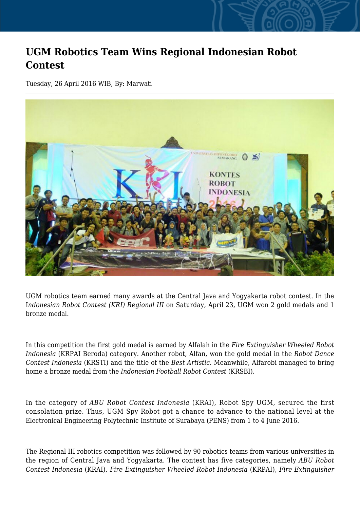## **UGM Robotics Team Wins Regional Indonesian Robot Contest**

Tuesday, 26 April 2016 WIB, By: Marwati



UGM robotics team earned many awards at the Central Java and Yogyakarta robot contest. In the I*ndonesian Robot Contest (KRI) Regional III* on Saturday, April 23, UGM won 2 gold medals and 1 bronze medal.

In this competition the first gold medal is earned by Alfalah in the *Fire Extinguisher Wheeled Robot Indonesia* (KRPAI Beroda) category. Another robot, Alfan, won the gold medal in the *Robot Dance Contest Indonesia* (KRSTI) and the title of the *Best Artistic*. Meanwhile, Alfarobi managed to bring home a bronze medal from the *Indonesian Football Robot Contest* (KRSBI).

In the category of *ABU Robot Contest Indonesia* (KRAI), Robot Spy UGM, secured the first consolation prize. Thus, UGM Spy Robot got a chance to advance to the national level at the Electronical Engineering Polytechnic Institute of Surabaya (PENS) from 1 to 4 June 2016.

The Regional III robotics competition was followed by 90 robotics teams from various universities in the region of Central Java and Yogyakarta. The contest has five categories, namely *ABU Robot Contest Indonesia* (KRAI), *Fire Extinguisher Wheeled Robot Indonesia* (KRPAI), *Fire Extinguisher*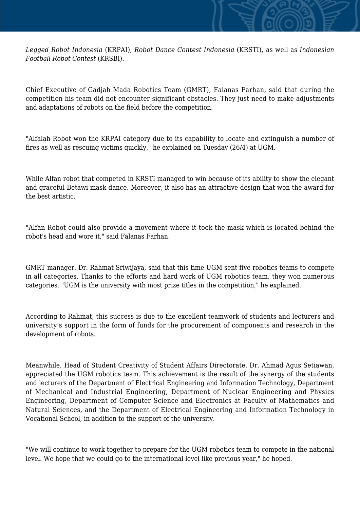*Legged Robot Indonesia* (KRPAI), *Robot Dance Contest Indonesia* (KRSTI), as well as *Indonesian Football Robot Contest* (KRSBI).

Chief Executive of Gadjah Mada Robotics Team (GMRT), Falanas Farhan, said that during the competition his team did not encounter significant obstacles. They just need to make adjustments and adaptations of robots on the field before the competition.

"Alfalah Robot won the KRPAI category due to its capability to locate and extinguish a number of fires as well as rescuing victims quickly," he explained on Tuesday (26/4) at UGM.

While Alfan robot that competed in KRSTI managed to win because of its ability to show the elegant and graceful Betawi mask dance. Moreover, it also has an attractive design that won the award for the best artistic.

"Alfan Robot could also provide a movement where it took the mask which is located behind the robot's head and wore it," said Falanas Farhan.

GMRT manager, Dr. Rahmat Sriwijaya, said that this time UGM sent five robotics teams to compete in all categories. Thanks to the efforts and hard work of UGM robotics team, they won numerous categories. "UGM is the university with most prize titles in the competition," he explained.

According to Rahmat, this success is due to the excellent teamwork of students and lecturers and university's support in the form of funds for the procurement of components and research in the development of robots.

Meanwhile, Head of Student Creativity of Student Affairs Directorate, Dr. Ahmad Agus Setiawan, appreciated the UGM robotics team. This achievement is the result of the synergy of the students and lecturers of the Department of Electrical Engineering and Information Technology, Department of Mechanical and Industrial Engineering, Department of Nuclear Engineering and Physics Engineering, Department of Computer Science and Electronics at Faculty of Mathematics and Natural Sciences, and the Department of Electrical Engineering and Information Technology in Vocational School, in addition to the support of the university.

"We will continue to work together to prepare for the UGM robotics team to compete in the national level. We hope that we could go to the international level like previous year," he hoped.